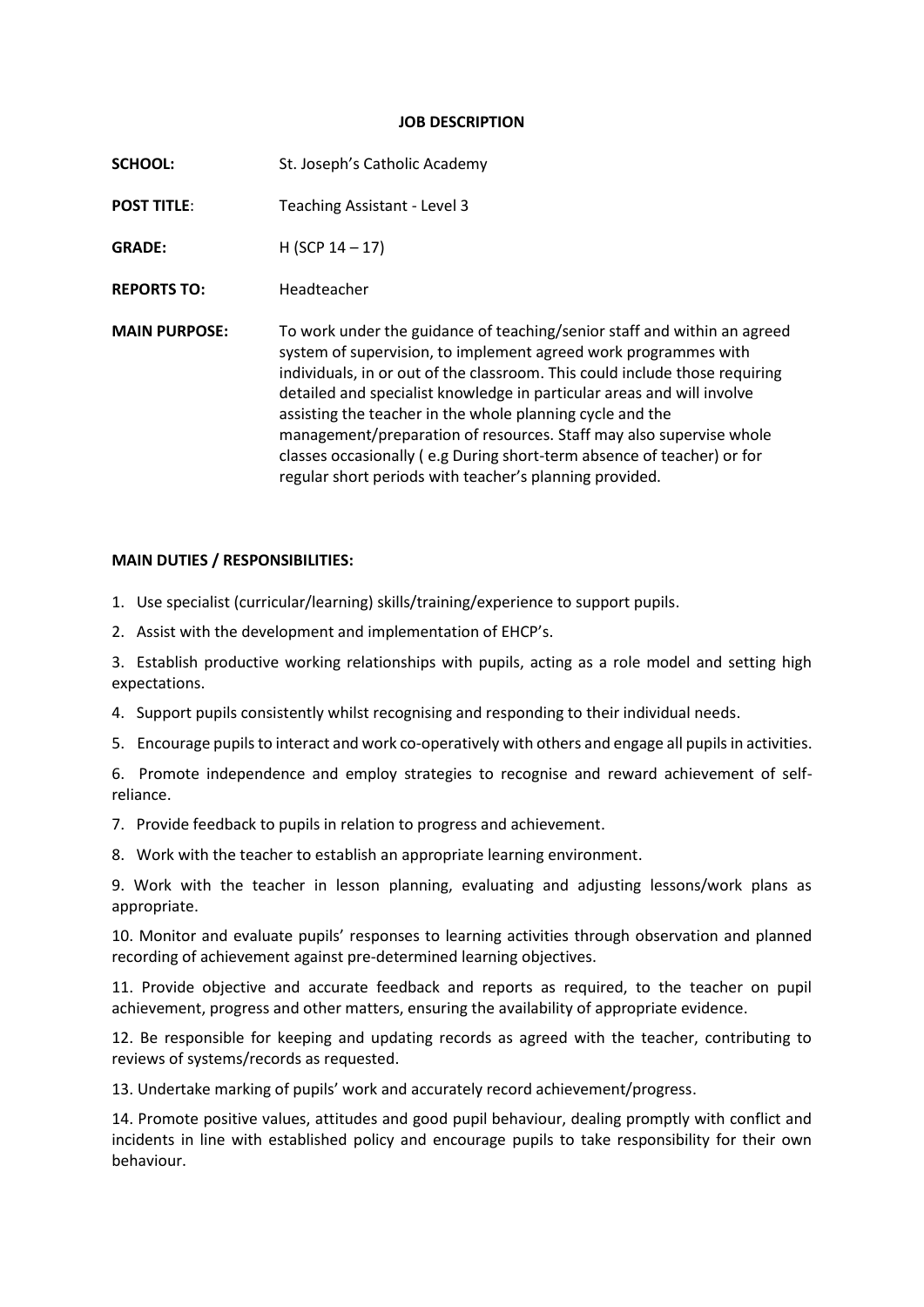## **JOB DESCRIPTION**

| <b>SCHOOL:</b>       | St. Joseph's Catholic Academy                                                                                                                                                                                                                                                                                                                                                                                                                                                                                                                                                 |
|----------------------|-------------------------------------------------------------------------------------------------------------------------------------------------------------------------------------------------------------------------------------------------------------------------------------------------------------------------------------------------------------------------------------------------------------------------------------------------------------------------------------------------------------------------------------------------------------------------------|
| <b>POST TITLE:</b>   | Teaching Assistant - Level 3                                                                                                                                                                                                                                                                                                                                                                                                                                                                                                                                                  |
| <b>GRADE:</b>        | $H (SCP 14-17)$                                                                                                                                                                                                                                                                                                                                                                                                                                                                                                                                                               |
| <b>REPORTS TO:</b>   | Headteacher                                                                                                                                                                                                                                                                                                                                                                                                                                                                                                                                                                   |
| <b>MAIN PURPOSE:</b> | To work under the guidance of teaching/senior staff and within an agreed<br>system of supervision, to implement agreed work programmes with<br>individuals, in or out of the classroom. This could include those requiring<br>detailed and specialist knowledge in particular areas and will involve<br>assisting the teacher in the whole planning cycle and the<br>management/preparation of resources. Staff may also supervise whole<br>classes occasionally (e.g During short-term absence of teacher) or for<br>regular short periods with teacher's planning provided. |

## **MAIN DUTIES / RESPONSIBILITIES:**

1. Use specialist (curricular/learning) skills/training/experience to support pupils.

2. Assist with the development and implementation of EHCP's.

3. Establish productive working relationships with pupils, acting as a role model and setting high expectations.

- 4. Support pupils consistently whilst recognising and responding to their individual needs.
- 5. Encourage pupils to interact and work co-operatively with others and engage all pupils in activities.

6. Promote independence and employ strategies to recognise and reward achievement of selfreliance.

- 7. Provide feedback to pupils in relation to progress and achievement.
- 8. Work with the teacher to establish an appropriate learning environment.

9. Work with the teacher in lesson planning, evaluating and adjusting lessons/work plans as appropriate.

10. Monitor and evaluate pupils' responses to learning activities through observation and planned recording of achievement against pre-determined learning objectives.

11. Provide objective and accurate feedback and reports as required, to the teacher on pupil achievement, progress and other matters, ensuring the availability of appropriate evidence.

12. Be responsible for keeping and updating records as agreed with the teacher, contributing to reviews of systems/records as requested.

13. Undertake marking of pupils' work and accurately record achievement/progress.

14. Promote positive values, attitudes and good pupil behaviour, dealing promptly with conflict and incidents in line with established policy and encourage pupils to take responsibility for their own behaviour.